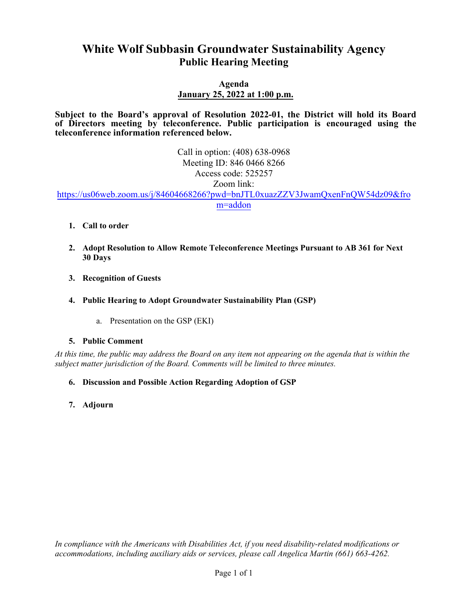# **White Wolf Subbasin Groundwater Sustainability Agency Public Hearing Meeting**

## **Agenda January 25, 2022 at 1:00 p.m.**

**Subject to the Board's approval of Resolution 2022-01, the District will hold its Board of Directors meeting by teleconference. Public participation is encouraged using the teleconference information referenced below.** 

> Call in option: (408) 638-0968 Meeting ID: 846 0466 8266 Access code: 525257 Zoom link:

https://us06web.zoom.us/j/84604668266?pwd=bnJTL0xuazZZV3JwamQxenFnQW54dz09&fro m=addon

- **1. Call to order**
- **2. Adopt Resolution to Allow Remote Teleconference Meetings Pursuant to AB 361 for Next 30 Days**
- **3. Recognition of Guests**
- **4. Public Hearing to Adopt Groundwater Sustainability Plan (GSP)**
	- a. Presentation on the GSP (EKI)

### **5. Public Comment**

*At this time, the public may address the Board on any item not appearing on the agenda that is within the subject matter jurisdiction of the Board. Comments will be limited to three minutes.* 

- **6. Discussion and Possible Action Regarding Adoption of GSP**
- **7. Adjourn**

*In compliance with the Americans with Disabilities Act, if you need disability-related modifications or accommodations, including auxiliary aids or services, please call Angelica Martin (661) 663-4262.*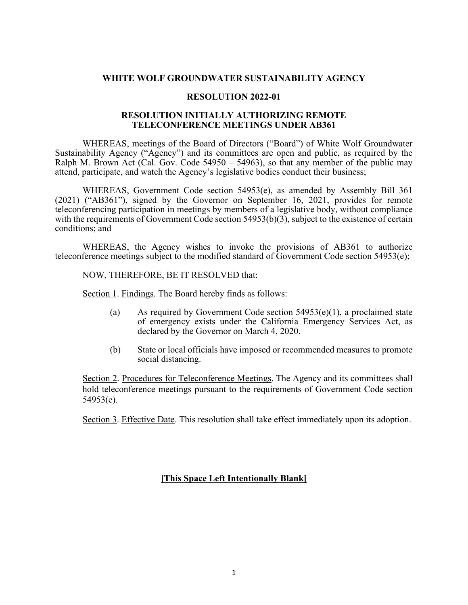#### **WHITE WOLF GROUNDWATER SUSTAINABILITY AGENCY**

#### **RESOLUTION 2022-01**

#### **RESOLUTION INITIALLY AUTHORIZING REMOTE TELECONFERENCE MEETINGS UNDER AB361**

WHEREAS, meetings of the Board of Directors ("Board") of White Wolf Groundwater Sustainability Agency ("Agency") and its committees are open and public, as required by the Ralph M. Brown Act (Cal. Gov. Code 54950 – 54963), so that any member of the public may attend, participate, and watch the Agency's legislative bodies conduct their business;

WHEREAS, Government Code section 54953(e), as amended by Assembly Bill 361 (2021) ("AB361"), signed by the Governor on September 16, 2021, provides for remote teleconferencing participation in meetings by members of a legislative body, without compliance with the requirements of Government Code section 54953(b)(3), subject to the existence of certain conditions; and

WHEREAS, the Agency wishes to invoke the provisions of AB361 to authorize teleconference meetings subject to the modified standard of Government Code section 54953(e);

NOW, THEREFORE, BE IT RESOLVED that:

Section 1. Findings. The Board hereby finds as follows:

- (a) As required by Government Code section  $54953(e)(1)$ , a proclaimed state of emergency exists under the California Emergency Services Act, as declared by the Governor on March 4, 2020.
- (b) State or local officials have imposed or recommended measures to promote social distancing.

Section 2. Procedures for Teleconference Meetings. The Agency and its committees shall hold teleconference meetings pursuant to the requirements of Government Code section 54953(e).

Section 3. Effective Date. This resolution shall take effect immediately upon its adoption.

## **[This Space Left Intentionally Blank]**